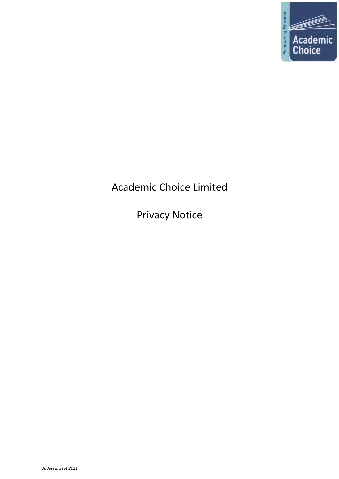

# Academic Choice Limited

Privacy Notice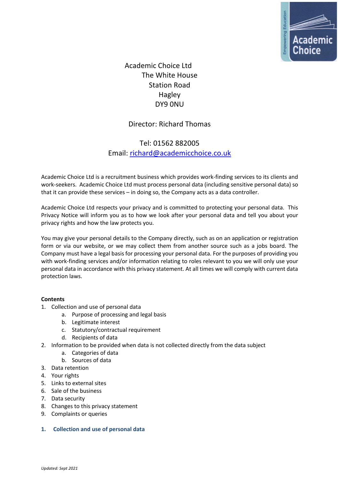

Academic Choice Ltd The White House Station Road Hagley DY9 0NU

# Director: Richard Thomas

# Tel: 01562 882005 Email: richard@academicchoice.co.uk

Academic Choice Ltd is a recruitment business which provides work-finding services to its clients and work-seekers. Academic Choice Ltd must process personal data (including sensitive personal data) so that it can provide these services – in doing so, the Company acts as a data controller.

Academic Choice Ltd respects your privacy and is committed to protecting your personal data. This Privacy Notice will inform you as to how we look after your personal data and tell you about your privacy rights and how the law protects you.

You may give your personal details to the Company directly, such as on an application or registration form or via our website, or we may collect them from another source such as a jobs board. The Company must have a legal basis for processing your personal data. For the purposes of providing you with work-finding services and/or information relating to roles relevant to you we will only use your personal data in accordance with this privacy statement. At all times we will comply with current data protection laws.

# **Contents**

- 1. Collection and use of personal data
	- a. Purpose of processing and legal basis
	- b. Legitimate interest
	- c. Statutory/contractual requirement
	- d. Recipients of data
- 2. Information to be provided when data is not collected directly from the data subject
	- a. Categories of data
	- b. Sources of data
- 3. Data retention
- 4. Your rights
- 5. Links to external sites
- 6. Sale of the business
- 7. Data security
- 8. Changes to this privacy statement
- 9. Complaints or queries
- **1. Collection and use of personal data**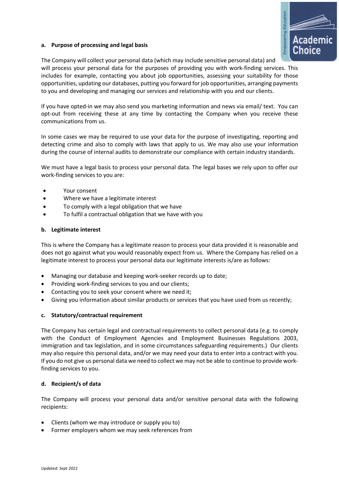

# **a. Purpose of processing and legal basis**

The Company will collect your personal data (which may include sensitive personal data) and will process your personal data for the purposes of providing you with work-finding services. This includes for example, contacting you about job opportunities, assessing your suitability for those opportunities, updating our databases, putting you forward for job opportunities, arranging payments to you and developing and managing our services and relationship with you and our clients.

If you have opted-in we may also send you marketing information and news via email/ text. You can opt-out from receiving these at any time by contacting the Company when you receive these communications from us.

In some cases we may be required to use your data for the purpose of investigating, reporting and detecting crime and also to comply with laws that apply to us. We may also use your information during the course of internal audits to demonstrate our compliance with certain industry standards.

We must have a legal basis to process your personal data. The legal bases we rely upon to offer our work-finding services to you are:

- Your consent
- Where we have a legitimate interest
- To comply with a legal obligation that we have
- To fulfil a contractual obligation that we have with you

#### **b. Legitimate interest**

This is where the Company has a legitimate reason to process your data provided it is reasonable and does not go against what you would reasonably expect from us. Where the Company has relied on a legitimate interest to process your personal data our legitimate interests is/are as follows:

- Managing our database and keeping work-seeker records up to date;
- Providing work-finding services to you and our clients;
- Contacting you to seek your consent where we need it;
- Giving you information about similar products or services that you have used from us recently;

# **c. Statutory/contractual requirement**

The Company has certain legal and contractual requirements to collect personal data (e.g. to comply with the Conduct of Employment Agencies and Employment Businesses Regulations 2003, immigration and tax legislation, and in some circumstances safeguarding requirements.) Our clients may also require this personal data, and/or we may need your data to enter into a contract with you. If you do not give us personal data we need to collect we may not be able to continue to provide workfinding services to you.

# **d. Recipient/s of data**

The Company will process your personal data and/or sensitive personal data with the following recipients:

- Clients (whom we may introduce or supply you to)
- Former employers whom we may seek references from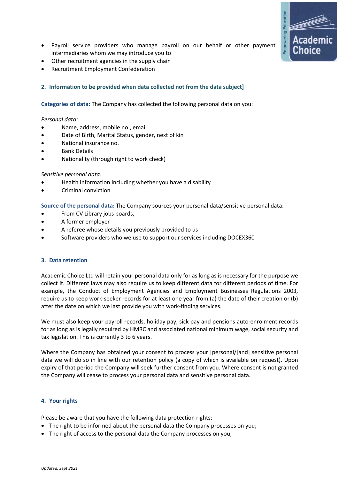- Payroll service providers who manage payroll on our behalf or other payment intermediaries whom we may introduce you to
- Other recruitment agencies in the supply chain
- Recruitment Employment Confederation

# **2. Information to be provided when data collected not from the data subject]**

**Categories of data:** The Company has collected the following personal data on you:

#### *Personal data:*

- Name, address, mobile no., email
- Date of Birth, Marital Status, gender, next of kin
- National insurance no.
- Bank Details
- Nationality (through right to work check)

#### *Sensitive personal data:*

- Health information including whether you have a disability
- Criminal conviction

**Source of the personal data:** The Company sources your personal data/sensitive personal data:

- From CV Library jobs boards,
- A former employer
- A referee whose details you previously provided to us
- Software providers who we use to support our services including DOCEX360

#### **3. Data retention**

Academic Choice Ltd will retain your personal data only for as long as is necessary for the purpose we collect it. Different laws may also require us to keep different data for different periods of time. For example, the Conduct of Employment Agencies and Employment Businesses Regulations 2003, require us to keep work-seeker records for at least one year from (a) the date of their creation or (b) after the date on which we last provide you with work-finding services.

We must also keep your payroll records, holiday pay, sick pay and pensions auto-enrolment records for as long as is legally required by HMRC and associated national minimum wage, social security and tax legislation. This is currently 3 to 6 years.

Where the Company has obtained your consent to process your [personal/[and] sensitive personal data we will do so in line with our retention policy (a copy of which is available on request). Upon expiry of that period the Company will seek further consent from you. Where consent is not granted the Company will cease to process your personal data and sensitive personal data.

#### **4. Your rights**

Please be aware that you have the following data protection rights:

- The right to be informed about the personal data the Company processes on you;
- The right of access to the personal data the Company processes on you;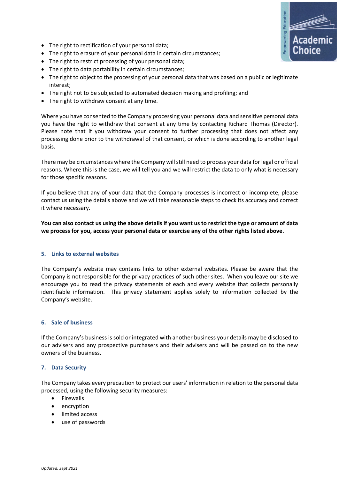- The right to rectification of your personal data;
- The right to erasure of your personal data in certain circumstances;
- The right to restrict processing of your personal data;
- The right to data portability in certain circumstances;
- The right to object to the processing of your personal data that was based on a public or legitimate interest;
- The right not to be subjected to automated decision making and profiling; and
- The right to withdraw consent at any time.

Where you have consented to the Company processing your personal data and sensitive personal data you have the right to withdraw that consent at any time by contacting Richard Thomas (Director). Please note that if you withdraw your consent to further processing that does not affect any processing done prior to the withdrawal of that consent, or which is done according to another legal basis.

There may be circumstances where the Company will still need to process your data for legal or official reasons. Where this is the case, we will tell you and we will restrict the data to only what is necessary for those specific reasons.

If you believe that any of your data that the Company processes is incorrect or incomplete, please contact us using the details above and we will take reasonable steps to check its accuracy and correct it where necessary.

**You can also contact us using the above details if you want us to restrict the type or amount of data we process for you, access your personal data or exercise any of the other rights listed above.**

# **5. Links to external websites**

The Company's website may contains links to other external websites. Please be aware that the Company is not responsible for the privacy practices of such other sites. When you leave our site we encourage you to read the privacy statements of each and every website that collects personally identifiable information. This privacy statement applies solely to information collected by the Company's website.

# **6. Sale of business**

If the Company's business is sold or integrated with another business your details may be disclosed to our advisers and any prospective purchasers and their advisers and will be passed on to the new owners of the business.

# **7. Data Security**

The Company takes every precaution to protect our users' information in relation to the personal data processed, using the following security measures:

- Firewalls
- encryption
- limited access
- use of passwords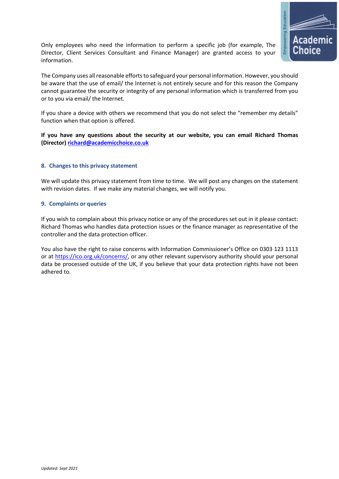

Only employees who need the information to perform a specific job (for example, The Director, Client Services Consultant and Finance Manager) are granted access to your information.

The Company uses all reasonable efforts to safeguard your personal information. However, you should be aware that the use of email/ the Internet is not entirely secure and for this reason the Company cannot guarantee the security or integrity of any personal information which is transferred from you or to you via email/ the Internet.

If you share a device with others we recommend that you do not select the "remember my details" function when that option is offered.

**If you have any questions about the security at our website, you can email Richard Thomas (Director) richard@academicchoice.co.uk**

# **8. Changes to this privacy statement**

We will update this privacy statement from time to time. We will post any changes on the statement with revision dates. If we make any material changes, we will notify you.

#### **9. Complaints or queries**

If you wish to complain about this privacy notice or any of the procedures set out in it please contact: Richard Thomas who handles data protection issues or the finance manager as representative of the controller and the data protection officer.

You also have the right to raise concerns with Information Commissioner's Office on 0303 123 1113 or at https://ico.org.uk/concerns/, or any other relevant supervisory authority should your personal data be processed outside of the UK, if you believe that your data protection rights have not been adhered to.